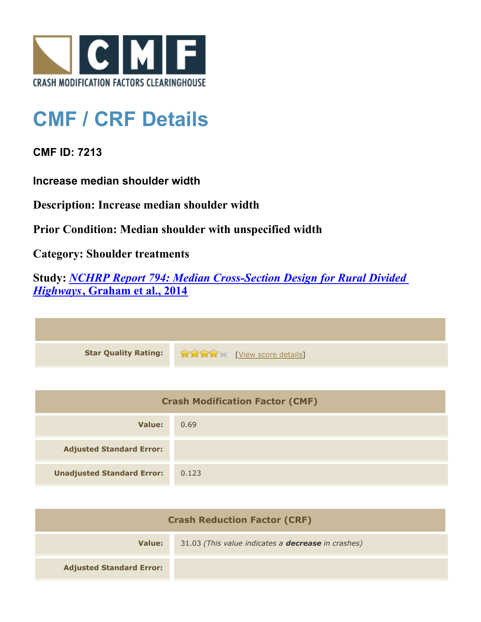

## **CMF / CRF Details**

**CMF ID: 7213**

**Increase median shoulder width**

**Description: Increase median shoulder width**

**Prior Condition: Median shoulder with unspecified width**

**Category: Shoulder treatments**

**Study:** *[NCHRP Report 794: Median Cross-Section Design for Rural Divided](http://www.cmfclearinghouse.org/study_detail.cfm?stid=420) [Highways](http://www.cmfclearinghouse.org/study_detail.cfm?stid=420)***[, Graham et al., 2014](http://www.cmfclearinghouse.org/study_detail.cfm?stid=420)**

**Star Quality Rating:**  $\mathbf{r} = \mathbf{r} + \mathbf{r}$ 

| <b>Crash Modification Factor (CMF)</b> |       |
|----------------------------------------|-------|
| Value:                                 | 0.69  |
| <b>Adjusted Standard Error:</b>        |       |
| <b>Unadjusted Standard Error:</b>      | 0.123 |

| <b>Crash Reduction Factor (CRF)</b> |                                                           |
|-------------------------------------|-----------------------------------------------------------|
| Value:                              | 31.03 (This value indicates a <b>decrease</b> in crashes) |
| <b>Adjusted Standard Error:</b>     |                                                           |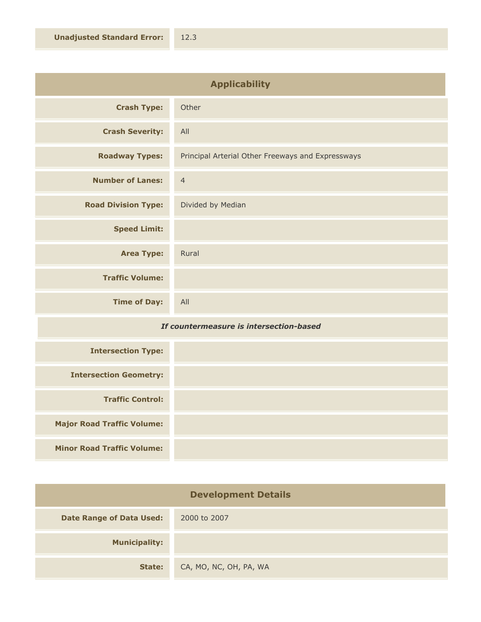| <b>Applicability</b>       |                                                   |
|----------------------------|---------------------------------------------------|
| <b>Crash Type:</b>         | Other                                             |
| <b>Crash Severity:</b>     | All                                               |
| <b>Roadway Types:</b>      | Principal Arterial Other Freeways and Expressways |
| <b>Number of Lanes:</b>    | $\overline{4}$                                    |
| <b>Road Division Type:</b> | Divided by Median                                 |
| <b>Speed Limit:</b>        |                                                   |
| <b>Area Type:</b>          | Rural                                             |
| <b>Traffic Volume:</b>     |                                                   |
| <b>Time of Day:</b>        | All                                               |

## *If countermeasure is intersection-based*

| <b>Intersection Type:</b>         |  |
|-----------------------------------|--|
| <b>Intersection Geometry:</b>     |  |
| <b>Traffic Control:</b>           |  |
| <b>Major Road Traffic Volume:</b> |  |
| <b>Minor Road Traffic Volume:</b> |  |

| <b>Development Details</b>      |                        |
|---------------------------------|------------------------|
| <b>Date Range of Data Used:</b> | 2000 to 2007           |
| <b>Municipality:</b>            |                        |
| State:                          | CA, MO, NC, OH, PA, WA |